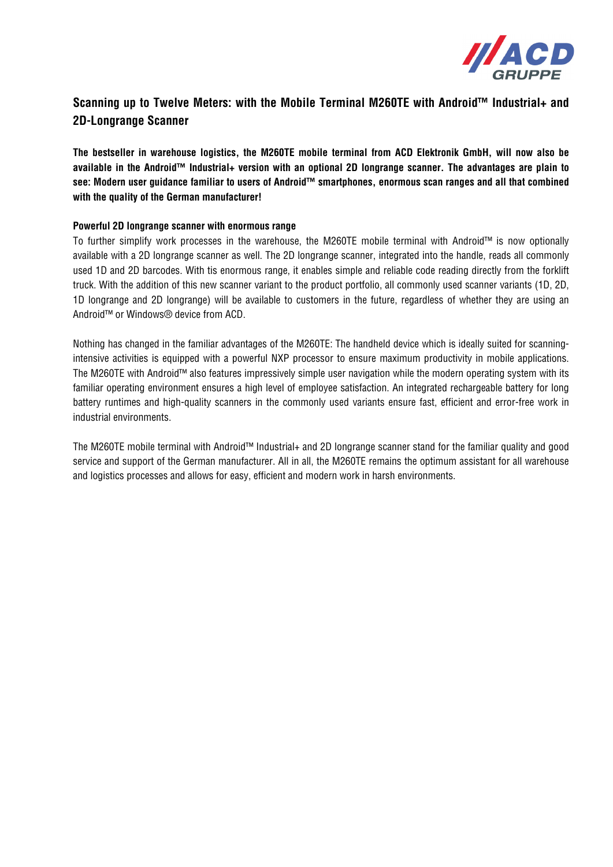

## **Scanning up to Twelve Meters: with the Mobile Terminal M260TE with Android™ Industrial+ and 2D-Longrange Scanner**

**The bestseller in warehouse logistics, the M260TE mobile terminal from ACD Elektronik GmbH, will now also be available in the Android™ Industrial+ version with an optional 2D longrange scanner. The advantages are plain to see: Modern user guidance familiar to users of Android™ smartphones, enormous scan ranges and all that combined with the quality of the German manufacturer!** 

## **Powerful 2D longrange scanner with enormous range**

To further simplify work processes in the warehouse, the M260TE mobile terminal with Android™ is now optionally available with a 2D longrange scanner as well. The 2D longrange scanner, integrated into the handle, reads all commonly used 1D and 2D barcodes. With tis enormous range, it enables simple and reliable code reading directly from the forklift truck. With the addition of this new scanner variant to the product portfolio, all commonly used scanner variants (1D, 2D, 1D longrange and 2D longrange) will be available to customers in the future, regardless of whether they are using an Android™ or Windows® device from ACD.

Nothing has changed in the familiar advantages of the M260TE: The handheld device which is ideally suited for scanningintensive activities is equipped with a powerful NXP processor to ensure maximum productivity in mobile applications. The M260TE with Android™ also features impressively simple user navigation while the modern operating system with its familiar operating environment ensures a high level of employee satisfaction. An integrated rechargeable battery for long battery runtimes and high-quality scanners in the commonly used variants ensure fast, efficient and error-free work in industrial environments.

The M260TE mobile terminal with Android™ Industrial+ and 2D longrange scanner stand for the familiar quality and good service and support of the German manufacturer. All in all, the M260TE remains the optimum assistant for all warehouse and logistics processes and allows for easy, efficient and modern work in harsh environments.